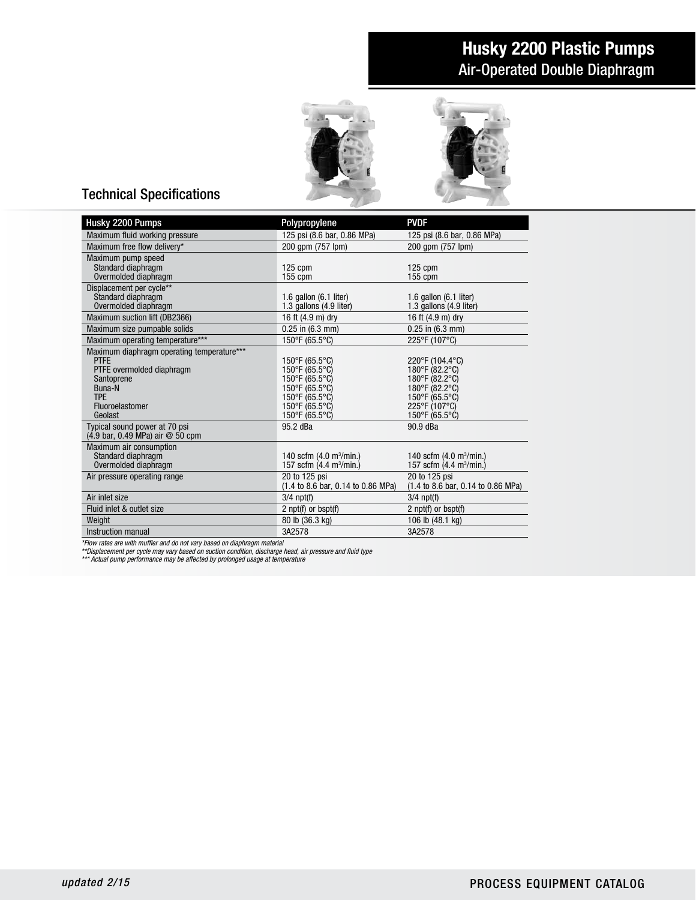# Air-Operated Double Diaphragm Husky 2200 Plastic Pumps



## Technical Specifications

| Husky 2200 Pumps                                          | Polypropylene                                                                   | <b>PVDF</b>                                                                             |
|-----------------------------------------------------------|---------------------------------------------------------------------------------|-----------------------------------------------------------------------------------------|
| Maximum fluid working pressure                            | 125 psi (8.6 bar, 0.86 MPa)                                                     | 125 psi (8.6 bar, 0.86 MPa)                                                             |
| Maximum free flow delivery*                               | 200 apm (757 lpm)                                                               | 200 apm (757 lpm)                                                                       |
| Maximum pump speed                                        |                                                                                 |                                                                                         |
| Standard diaphragm                                        | $125$ cpm                                                                       | $125$ cpm                                                                               |
| Overmolded diaphragm                                      | $155$ cpm                                                                       | $155$ cpm                                                                               |
| Displacement per cycle**                                  |                                                                                 |                                                                                         |
| Standard diaphragm<br>Overmolded diaphragm                | 1.6 gallon $(6.1$ liter)<br>1.3 gallons (4.9 liter)                             | 1.6 gallon $(6.1$ liter)<br>1.3 gallons (4.9 liter)                                     |
| Maximum suction lift (DB2366)                             | 16 ft (4.9 m) dry                                                               | 16 ft (4.9 m) dry                                                                       |
| Maximum size pumpable solids                              | $0.25$ in $(6.3$ mm)                                                            | $0.25$ in $(6.3$ mm)                                                                    |
|                                                           |                                                                                 |                                                                                         |
| Maximum operating temperature***                          | 150°F (65.5°C)                                                                  | 225°F (107°C)                                                                           |
| Maximum diaphragm operating temperature***<br><b>PTFE</b> | 150°F (65.5°C)                                                                  | 220°F (104.4°C)                                                                         |
| PTFE overmolded diaphragm                                 | 150°F (65.5°C)                                                                  | 180°F (82.2°C)                                                                          |
| Santoprene                                                | 150°F (65.5°C)                                                                  | 180°F (82.2°C)                                                                          |
| Buna-N                                                    | 150°F (65.5°C)                                                                  | 180°F (82.2°C)                                                                          |
| <b>TPF</b>                                                | 150°F (65.5°C)                                                                  | 150°F (65.5°C)                                                                          |
| Fluoroelastomer                                           | 150°F (65.5°C)                                                                  | 225°F (107°C)                                                                           |
| Geolast                                                   | $150^{\circ}$ F (65.5°C)                                                        | 150°F (65.5°C)                                                                          |
| Typical sound power at 70 psi                             | 95.2 dBa                                                                        | 90.9 dBa                                                                                |
| $(4.9 \text{ bar}, 0.49 \text{ MPa})$ air $@$ 50 cpm      |                                                                                 |                                                                                         |
| Maximum air consumption                                   |                                                                                 |                                                                                         |
| Standard diaphragm<br>Overmolded diaphragm                | 140 scfm $(4.0 \text{ m}^3/\text{min.})$<br>157 scfm (4.4 m <sup>3</sup> /min.) | 140 scfm $(4.0 \text{ m}^3/\text{min.})$<br>157 scfm (4.4 m <sup>3</sup> /min.)         |
|                                                           |                                                                                 |                                                                                         |
| Air pressure operating range                              | 20 to 125 psi<br>(1.4 to 8.6 bar, 0.14 to 0.86 MPa)                             | 20 to 125 psi<br>$(1.4 \text{ to } 8.6 \text{ bar}, 0.14 \text{ to } 0.86 \text{ MPa})$ |
| Air inlet size                                            | $3/4$ npt(f)                                                                    | $3/4$ npt $(f)$                                                                         |
| Fluid inlet & outlet size                                 |                                                                                 | 2 $npt(f)$ or $bspt(f)$                                                                 |
|                                                           | 2 $npt(f)$ or $bspt(f)$<br>80 lb (36.3 kg)                                      | 106 lb (48.1 kg)                                                                        |
| Weight                                                    |                                                                                 |                                                                                         |
| Instruction manual                                        | 3A2578                                                                          | 3A2578                                                                                  |

\*Flow rates are with muffler and do not vary based on diaphragm material<br>\*\*Displacement per cycle may vary based on suction condition, discharge head, air pressure and fluid type<br>\*\*\* Actual pump performance may be affected